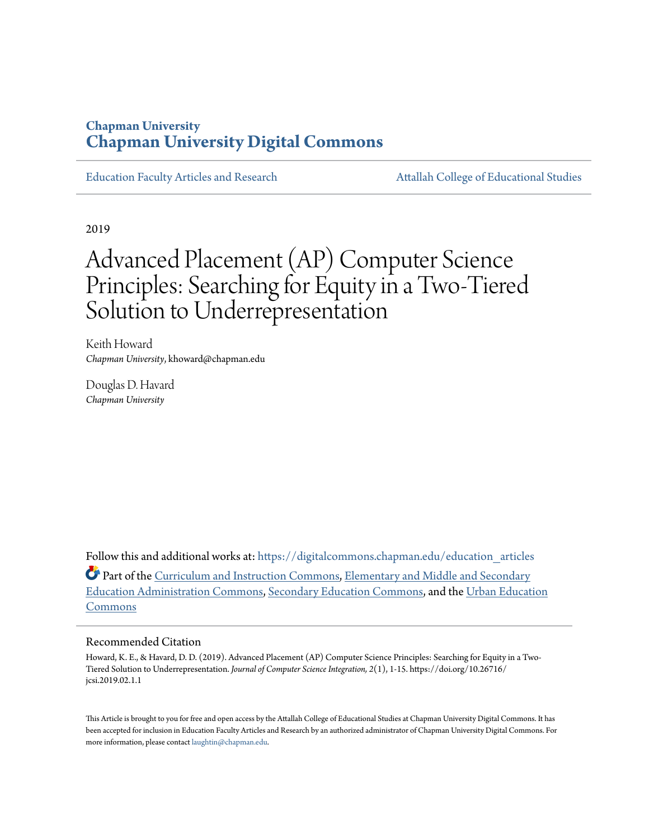### **Chapman University [Chapman University Digital Commons](https://digitalcommons.chapman.edu?utm_source=digitalcommons.chapman.edu%2Feducation_articles%2F226&utm_medium=PDF&utm_campaign=PDFCoverPages)**

[Education Faculty Articles and Research](https://digitalcommons.chapman.edu/education_articles?utm_source=digitalcommons.chapman.edu%2Feducation_articles%2F226&utm_medium=PDF&utm_campaign=PDFCoverPages) [Attallah College of Educational Studies](https://digitalcommons.chapman.edu/ces?utm_source=digitalcommons.chapman.edu%2Feducation_articles%2F226&utm_medium=PDF&utm_campaign=PDFCoverPages)

2019

# Advanced Placement (AP) Computer Science Principles: Searching for Equity in a Two-Tiered Solution to Underrepresentation

Keith Howard *Chapman University*, khoward@chapman.edu

Douglas D. Havard *Chapman University*

Follow this and additional works at: [https://digitalcommons.chapman.edu/education\\_articles](https://digitalcommons.chapman.edu/education_articles?utm_source=digitalcommons.chapman.edu%2Feducation_articles%2F226&utm_medium=PDF&utm_campaign=PDFCoverPages) Part of the [Curriculum and Instruction Commons](http://network.bepress.com/hgg/discipline/786?utm_source=digitalcommons.chapman.edu%2Feducation_articles%2F226&utm_medium=PDF&utm_campaign=PDFCoverPages), [Elementary and Middle and Secondary](http://network.bepress.com/hgg/discipline/790?utm_source=digitalcommons.chapman.edu%2Feducation_articles%2F226&utm_medium=PDF&utm_campaign=PDFCoverPages) [Education Administration Commons](http://network.bepress.com/hgg/discipline/790?utm_source=digitalcommons.chapman.edu%2Feducation_articles%2F226&utm_medium=PDF&utm_campaign=PDFCoverPages), [Secondary Education Commons](http://network.bepress.com/hgg/discipline/1382?utm_source=digitalcommons.chapman.edu%2Feducation_articles%2F226&utm_medium=PDF&utm_campaign=PDFCoverPages), and the [Urban Education](http://network.bepress.com/hgg/discipline/793?utm_source=digitalcommons.chapman.edu%2Feducation_articles%2F226&utm_medium=PDF&utm_campaign=PDFCoverPages) [Commons](http://network.bepress.com/hgg/discipline/793?utm_source=digitalcommons.chapman.edu%2Feducation_articles%2F226&utm_medium=PDF&utm_campaign=PDFCoverPages)

#### Recommended Citation

Howard, K. E., & Havard, D. D. (2019). Advanced Placement (AP) Computer Science Principles: Searching for Equity in a Two-Tiered Solution to Underrepresentation. *Journal of Computer Science Integration, 2*(1), 1-15. https://doi.org/10.26716/ jcsi.2019.02.1.1

This Article is brought to you for free and open access by the Attallah College of Educational Studies at Chapman University Digital Commons. It has been accepted for inclusion in Education Faculty Articles and Research by an authorized administrator of Chapman University Digital Commons. For more information, please contact [laughtin@chapman.edu](mailto:laughtin@chapman.edu).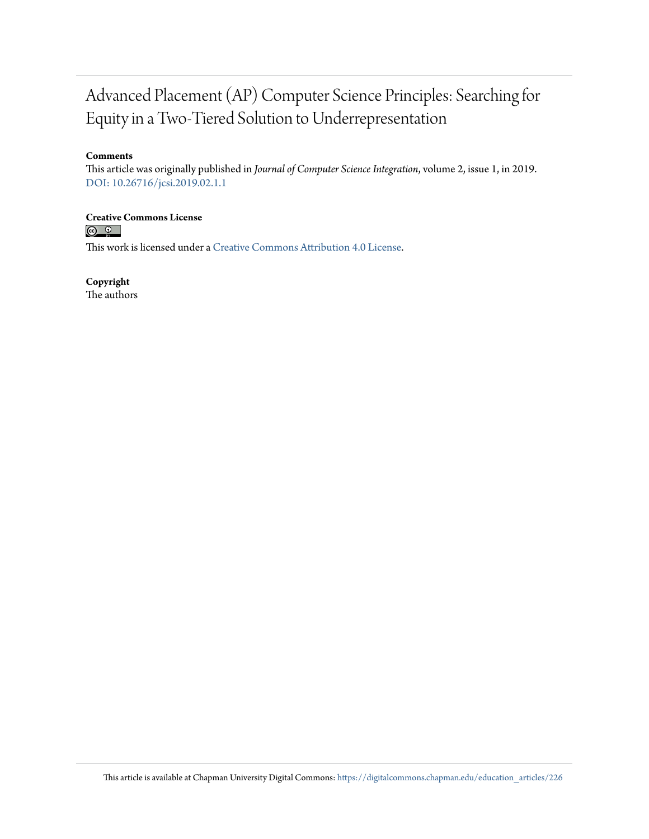### Advanced Placement (AP) Computer Science Principles: Searching for Equity in a Two-Tiered Solution to Underrepresentation

#### **Comments**

This article was originally published in *Journal of Computer Science Integration*, volume 2, issue 1, in 2019. [DOI: 10.26716/jcsi.2019.02.1.1](https://doi.org/10.26716/jcsi.2019.02.1.1)

## **Creative Commons License**<br> **C Q Q**

This work is licensed under a [Creative Commons Attribution 4.0 License.](https://creativecommons.org/licenses/by/4.0/)

**Copyright**

The authors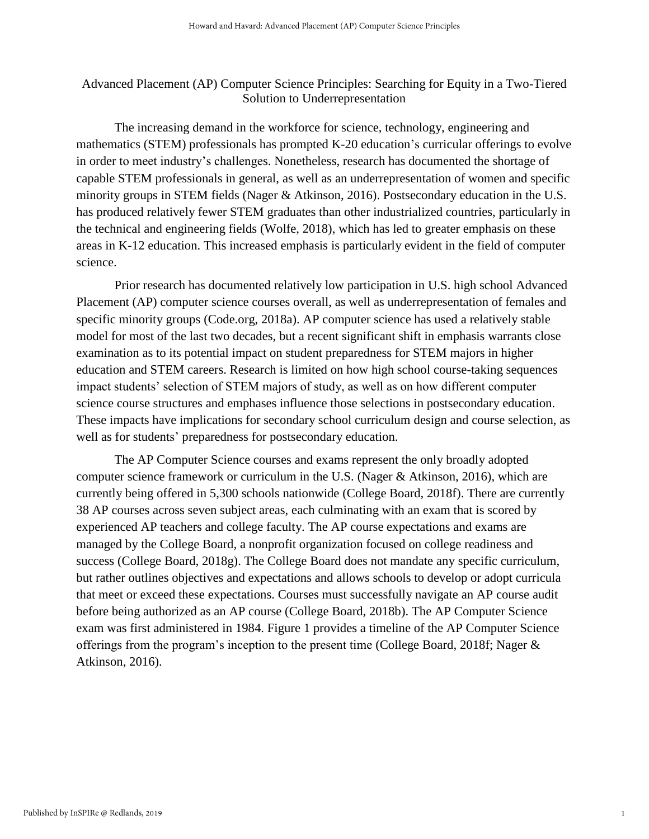#### Advanced Placement (AP) Computer Science Principles: Searching for Equity in a Two-Tiered Solution to Underrepresentation

The increasing demand in the workforce for science, technology, engineering and mathematics (STEM) professionals has prompted K-20 education's curricular offerings to evolve in order to meet industry's challenges. Nonetheless, research has documented the shortage of capable STEM professionals in general, as well as an underrepresentation of women and specific minority groups in STEM fields (Nager & Atkinson, 2016). Postsecondary education in the U.S. has produced relatively fewer STEM graduates than other industrialized countries, particularly in the technical and engineering fields (Wolfe, 2018), which has led to greater emphasis on these areas in K-12 education. This increased emphasis is particularly evident in the field of computer science.

Prior research has documented relatively low participation in U.S. high school Advanced Placement (AP) computer science courses overall, as well as underrepresentation of females and specific minority groups (Code.org, 2018a). AP computer science has used a relatively stable model for most of the last two decades, but a recent significant shift in emphasis warrants close examination as to its potential impact on student preparedness for STEM majors in higher education and STEM careers. Research is limited on how high school course-taking sequences impact students' selection of STEM majors of study, as well as on how different computer science course structures and emphases influence those selections in postsecondary education. These impacts have implications for secondary school curriculum design and course selection, as well as for students' preparedness for postsecondary education.

The AP Computer Science courses and exams represent the only broadly adopted computer science framework or curriculum in the U.S. (Nager & Atkinson, 2016), which are currently being offered in 5,300 schools nationwide (College Board, 2018f). There are currently 38 AP courses across seven subject areas, each culminating with an exam that is scored by experienced AP teachers and college faculty. The AP course expectations and exams are managed by the College Board, a nonprofit organization focused on college readiness and success (College Board, 2018g). The College Board does not mandate any specific curriculum, but rather outlines objectives and expectations and allows schools to develop or adopt curricula that meet or exceed these expectations. Courses must successfully navigate an AP course audit before being authorized as an AP course (College Board, 2018b). The AP Computer Science exam was first administered in 1984. Figure 1 provides a timeline of the AP Computer Science offerings from the program's inception to the present time (College Board, 2018f; Nager & Atkinson, 2016).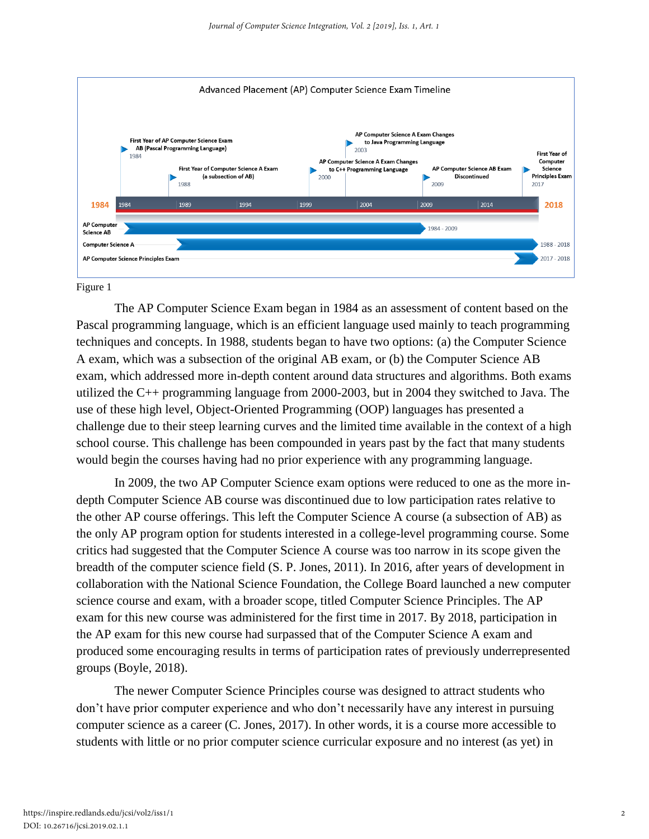

#### Figure 1

The AP Computer Science Exam began in 1984 as an assessment of content based on the Pascal programming language, which is an efficient language used mainly to teach programming techniques and concepts. In 1988, students began to have two options: (a) the Computer Science A exam, which was a subsection of the original AB exam, or (b) the Computer Science AB exam, which addressed more in-depth content around data structures and algorithms. Both exams utilized the C++ programming language from 2000-2003, but in 2004 they switched to Java. The use of these high level, Object-Oriented Programming (OOP) languages has presented a challenge due to their steep learning curves and the limited time available in the context of a high school course. This challenge has been compounded in years past by the fact that many students would begin the courses having had no prior experience with any programming language.

In 2009, the two AP Computer Science exam options were reduced to one as the more indepth Computer Science AB course was discontinued due to low participation rates relative to the other AP course offerings. This left the Computer Science A course (a subsection of AB) as the only AP program option for students interested in a college-level programming course. Some critics had suggested that the Computer Science A course was too narrow in its scope given the breadth of the computer science field (S. P. Jones, 2011). In 2016, after years of development in collaboration with the National Science Foundation, the College Board launched a new computer science course and exam, with a broader scope, titled Computer Science Principles. The AP exam for this new course was administered for the first time in 2017. By 2018, participation in the AP exam for this new course had surpassed that of the Computer Science A exam and produced some encouraging results in terms of participation rates of previously underrepresented groups (Boyle, 2018).

The newer Computer Science Principles course was designed to attract students who don't have prior computer experience and who don't necessarily have any interest in pursuing computer science as a career (C. Jones, 2017). In other words, it is a course more accessible to students with little or no prior computer science curricular exposure and no interest (as yet) in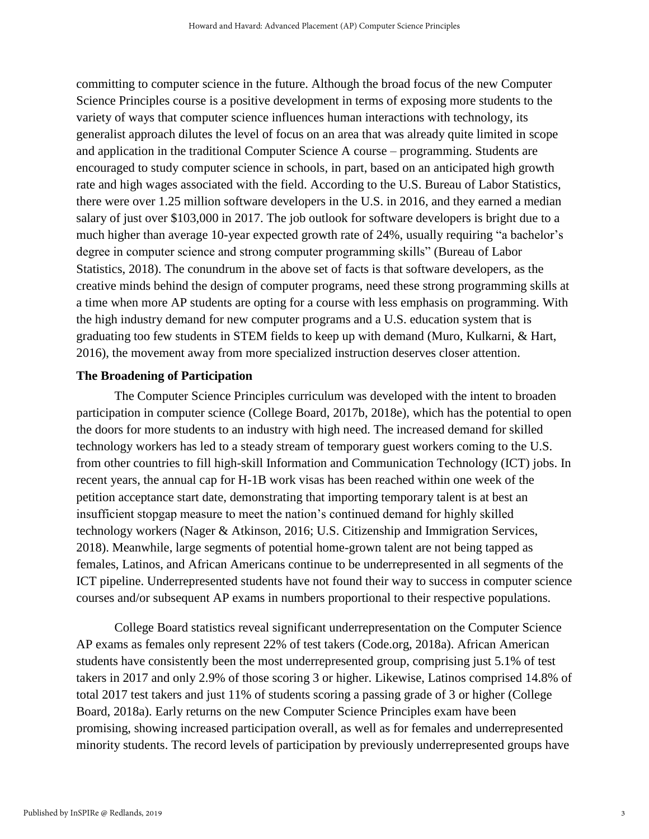committing to computer science in the future. Although the broad focus of the new Computer Science Principles course is a positive development in terms of exposing more students to the variety of ways that computer science influences human interactions with technology, its generalist approach dilutes the level of focus on an area that was already quite limited in scope and application in the traditional Computer Science A course – programming. Students are encouraged to study computer science in schools, in part, based on an anticipated high growth rate and high wages associated with the field. According to the U.S. Bureau of Labor Statistics, there were over 1.25 million software developers in the U.S. in 2016, and they earned a median salary of just over \$103,000 in 2017. The job outlook for software developers is bright due to a much higher than average 10-year expected growth rate of 24%, usually requiring "a bachelor's degree in computer science and strong computer programming skills" (Bureau of Labor Statistics, 2018). The conundrum in the above set of facts is that software developers, as the creative minds behind the design of computer programs, need these strong programming skills at a time when more AP students are opting for a course with less emphasis on programming. With the high industry demand for new computer programs and a U.S. education system that is graduating too few students in STEM fields to keep up with demand (Muro, Kulkarni, & Hart, 2016), the movement away from more specialized instruction deserves closer attention.

#### **The Broadening of Participation**

The Computer Science Principles curriculum was developed with the intent to broaden participation in computer science (College Board, 2017b, 2018e), which has the potential to open the doors for more students to an industry with high need. The increased demand for skilled technology workers has led to a steady stream of temporary guest workers coming to the U.S. from other countries to fill high-skill Information and Communication Technology (ICT) jobs. In recent years, the annual cap for H-1B work visas has been reached within one week of the petition acceptance start date, demonstrating that importing temporary talent is at best an insufficient stopgap measure to meet the nation's continued demand for highly skilled technology workers (Nager & Atkinson, 2016; U.S. Citizenship and Immigration Services, 2018). Meanwhile, large segments of potential home-grown talent are not being tapped as females, Latinos, and African Americans continue to be underrepresented in all segments of the ICT pipeline. Underrepresented students have not found their way to success in computer science courses and/or subsequent AP exams in numbers proportional to their respective populations.

College Board statistics reveal significant underrepresentation on the Computer Science AP exams as females only represent 22% of test takers (Code.org, 2018a). African American students have consistently been the most underrepresented group, comprising just 5.1% of test takers in 2017 and only 2.9% of those scoring 3 or higher. Likewise, Latinos comprised 14.8% of total 2017 test takers and just 11% of students scoring a passing grade of 3 or higher (College Board, 2018a). Early returns on the new Computer Science Principles exam have been promising, showing increased participation overall, as well as for females and underrepresented minority students. The record levels of participation by previously underrepresented groups have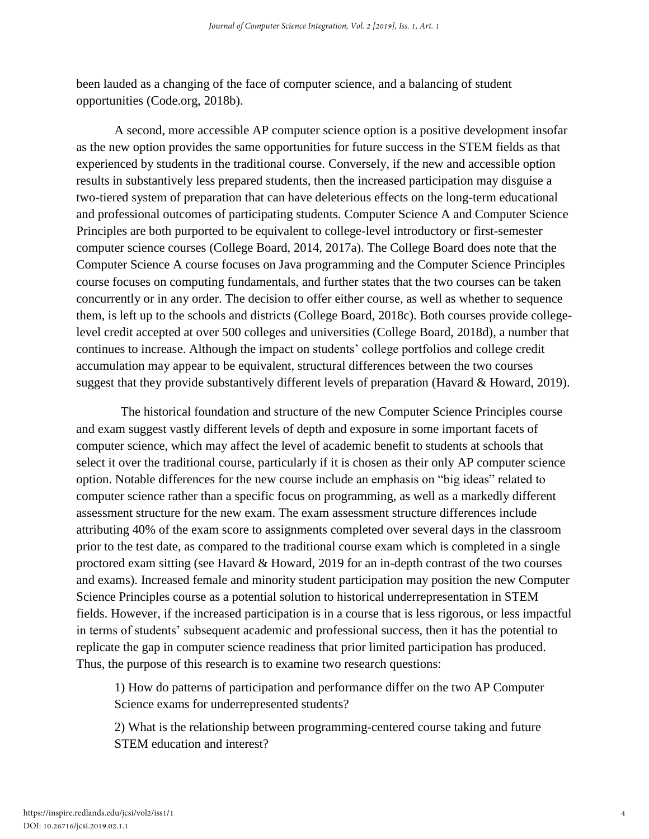been lauded as a changing of the face of computer science, and a balancing of student opportunities (Code.org, 2018b).

A second, more accessible AP computer science option is a positive development insofar as the new option provides the same opportunities for future success in the STEM fields as that experienced by students in the traditional course. Conversely, if the new and accessible option results in substantively less prepared students, then the increased participation may disguise a two-tiered system of preparation that can have deleterious effects on the long-term educational and professional outcomes of participating students. Computer Science A and Computer Science Principles are both purported to be equivalent to college-level introductory or first-semester computer science courses (College Board, 2014, 2017a). The College Board does note that the Computer Science A course focuses on Java programming and the Computer Science Principles course focuses on computing fundamentals, and further states that the two courses can be taken concurrently or in any order. The decision to offer either course, as well as whether to sequence them, is left up to the schools and districts (College Board, 2018c). Both courses provide collegelevel credit accepted at over 500 colleges and universities (College Board, 2018d), a number that continues to increase. Although the impact on students' college portfolios and college credit accumulation may appear to be equivalent, structural differences between the two courses suggest that they provide substantively different levels of preparation (Havard & Howard, 2019).

 The historical foundation and structure of the new Computer Science Principles course and exam suggest vastly different levels of depth and exposure in some important facets of computer science, which may affect the level of academic benefit to students at schools that select it over the traditional course, particularly if it is chosen as their only AP computer science option. Notable differences for the new course include an emphasis on "big ideas" related to computer science rather than a specific focus on programming, as well as a markedly different assessment structure for the new exam. The exam assessment structure differences include attributing 40% of the exam score to assignments completed over several days in the classroom prior to the test date, as compared to the traditional course exam which is completed in a single proctored exam sitting (see Havard & Howard, 2019 for an in-depth contrast of the two courses and exams). Increased female and minority student participation may position the new Computer Science Principles course as a potential solution to historical underrepresentation in STEM fields. However, if the increased participation is in a course that is less rigorous, or less impactful in terms of students' subsequent academic and professional success, then it has the potential to replicate the gap in computer science readiness that prior limited participation has produced. Thus, the purpose of this research is to examine two research questions:

1) How do patterns of participation and performance differ on the two AP Computer Science exams for underrepresented students?

2) What is the relationship between programming-centered course taking and future STEM education and interest?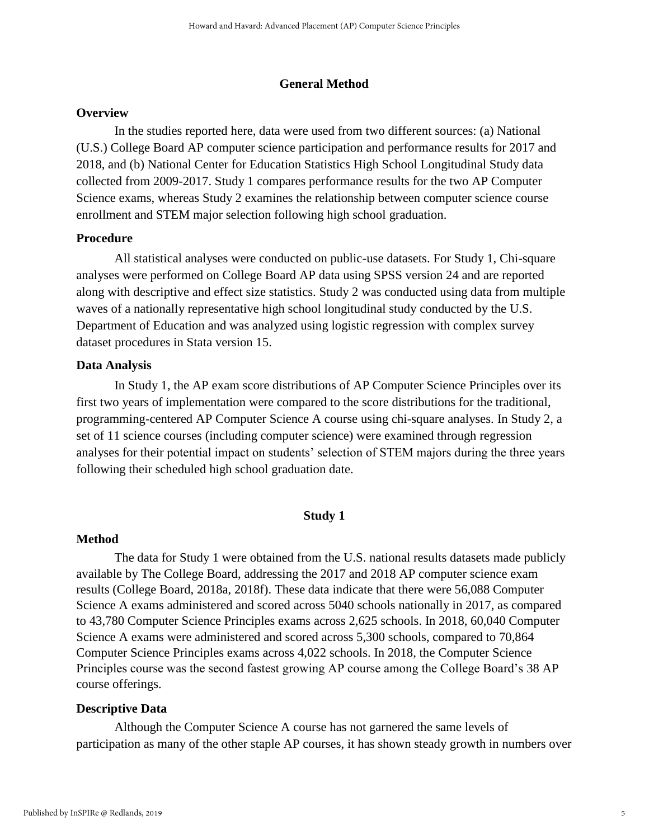#### **General Method**

#### **Overview**

In the studies reported here, data were used from two different sources: (a) National (U.S.) College Board AP computer science participation and performance results for 2017 and 2018, and (b) National Center for Education Statistics High School Longitudinal Study data collected from 2009-2017. Study 1 compares performance results for the two AP Computer Science exams, whereas Study 2 examines the relationship between computer science course enrollment and STEM major selection following high school graduation.

#### **Procedure**

All statistical analyses were conducted on public-use datasets. For Study 1, Chi-square analyses were performed on College Board AP data using SPSS version 24 and are reported along with descriptive and effect size statistics. Study 2 was conducted using data from multiple waves of a nationally representative high school longitudinal study conducted by the U.S. Department of Education and was analyzed using logistic regression with complex survey dataset procedures in Stata version 15.

#### **Data Analysis**

In Study 1, the AP exam score distributions of AP Computer Science Principles over its first two years of implementation were compared to the score distributions for the traditional, programming-centered AP Computer Science A course using chi-square analyses. In Study 2, a set of 11 science courses (including computer science) were examined through regression analyses for their potential impact on students' selection of STEM majors during the three years following their scheduled high school graduation date.

#### **Study 1**

#### **Method**

The data for Study 1 were obtained from the U.S. national results datasets made publicly available by The College Board, addressing the 2017 and 2018 AP computer science exam results (College Board, 2018a, 2018f). These data indicate that there were 56,088 Computer Science A exams administered and scored across 5040 schools nationally in 2017, as compared to 43,780 Computer Science Principles exams across 2,625 schools. In 2018, 60,040 Computer Science A exams were administered and scored across 5,300 schools, compared to 70,864 Computer Science Principles exams across 4,022 schools. In 2018, the Computer Science Principles course was the second fastest growing AP course among the College Board's 38 AP course offerings.

#### **Descriptive Data**

Although the Computer Science A course has not garnered the same levels of participation as many of the other staple AP courses, it has shown steady growth in numbers over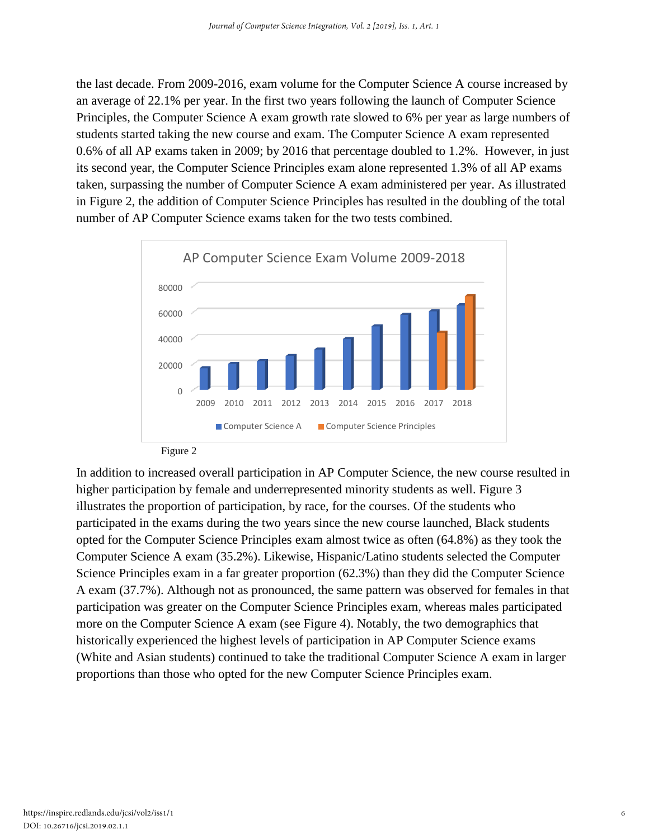the last decade. From 2009-2016, exam volume for the Computer Science A course increased by an average of 22.1% per year. In the first two years following the launch of Computer Science Principles, the Computer Science A exam growth rate slowed to 6% per year as large numbers of students started taking the new course and exam. The Computer Science A exam represented 0.6% of all AP exams taken in 2009; by 2016 that percentage doubled to 1.2%. However, in just its second year, the Computer Science Principles exam alone represented 1.3% of all AP exams taken, surpassing the number of Computer Science A exam administered per year. As illustrated in Figure 2, the addition of Computer Science Principles has resulted in the doubling of the total number of AP Computer Science exams taken for the two tests combined.



In addition to increased overall participation in AP Computer Science, the new course resulted in higher participation by female and underrepresented minority students as well. Figure 3 illustrates the proportion of participation, by race, for the courses. Of the students who participated in the exams during the two years since the new course launched, Black students opted for the Computer Science Principles exam almost twice as often (64.8%) as they took the Computer Science A exam (35.2%). Likewise, Hispanic/Latino students selected the Computer Science Principles exam in a far greater proportion (62.3%) than they did the Computer Science A exam (37.7%). Although not as pronounced, the same pattern was observed for females in that participation was greater on the Computer Science Principles exam, whereas males participated more on the Computer Science A exam (see Figure 4). Notably, the two demographics that historically experienced the highest levels of participation in AP Computer Science exams (White and Asian students) continued to take the traditional Computer Science A exam in larger proportions than those who opted for the new Computer Science Principles exam.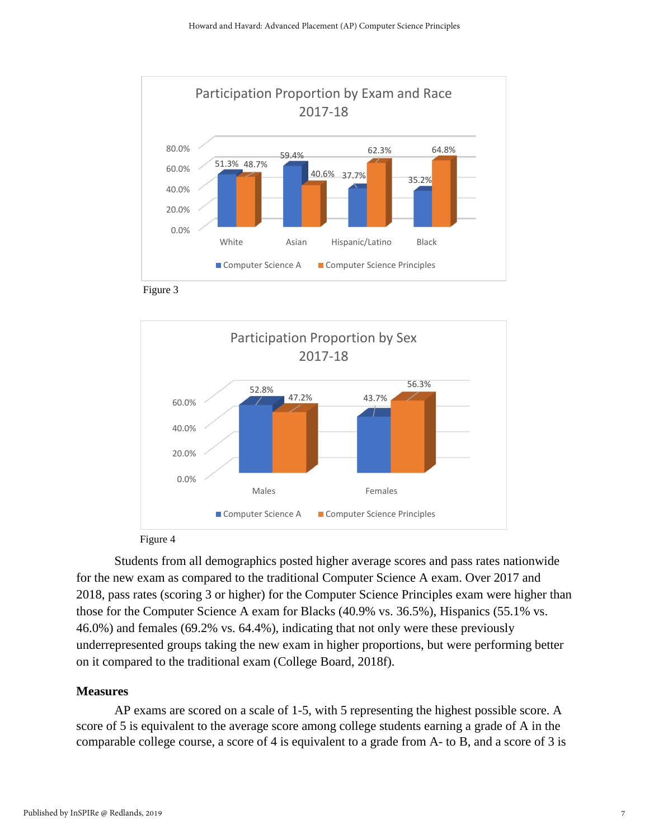





Figure 4

Students from all demographics posted higher average scores and pass rates nationwide for the new exam as compared to the traditional Computer Science A exam. Over 2017 and 2018, pass rates (scoring 3 or higher) for the Computer Science Principles exam were higher than those for the Computer Science A exam for Blacks (40.9% vs. 36.5%), Hispanics (55.1% vs. 46.0%) and females (69.2% vs. 64.4%), indicating that not only were these previously underrepresented groups taking the new exam in higher proportions, but were performing better on it compared to the traditional exam (College Board, 2018f).

#### **Measures**

AP exams are scored on a scale of 1-5, with 5 representing the highest possible score. A score of 5 is equivalent to the average score among college students earning a grade of A in the comparable college course, a score of 4 is equivalent to a grade from A- to B, and a score of 3 is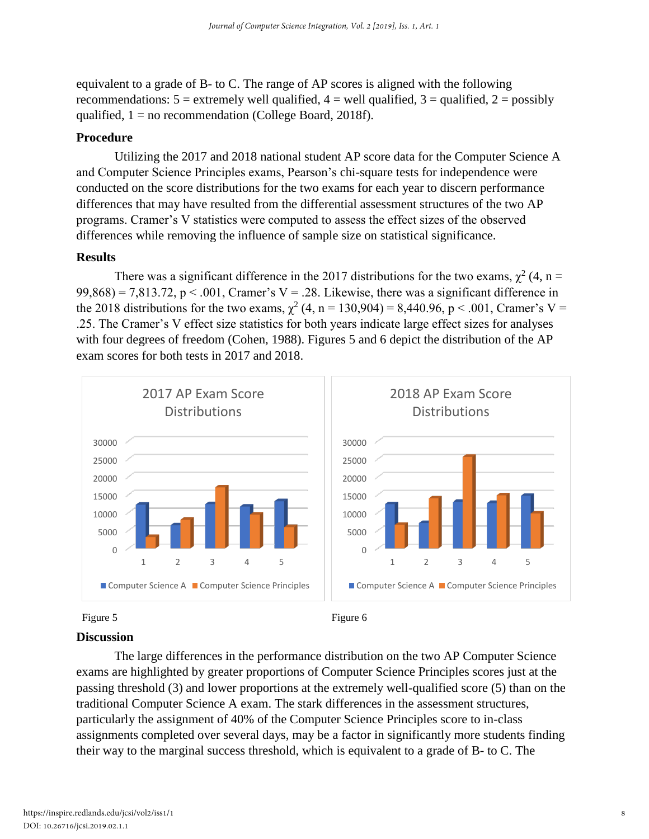equivalent to a grade of B- to C. The range of AP scores is aligned with the following recommendations:  $5 =$  extremely well qualified,  $4 =$  well qualified,  $3 =$  qualified,  $2 =$  possibly qualified,  $1 = no$  recommendation (College Board, 2018f).

### **Procedure**

Utilizing the 2017 and 2018 national student AP score data for the Computer Science A and Computer Science Principles exams, Pearson's chi-square tests for independence were conducted on the score distributions for the two exams for each year to discern performance differences that may have resulted from the differential assessment structures of the two AP programs. Cramer's V statistics were computed to assess the effect sizes of the observed differences while removing the influence of sample size on statistical significance.

#### **Results**

There was a significant difference in the 2017 distributions for the two exams,  $\chi^2$  (4, n =  $99,868$ ) = 7,813.72, p < .001, Cramer's V = .28. Likewise, there was a significant difference in the 2018 distributions for the two exams,  $\chi^2$  (4, n = 130,904) = 8,440.96, p < .001, Cramer's V = .25. The Cramer's V effect size statistics for both years indicate large effect sizes for analyses with four degrees of freedom (Cohen, 1988). Figures 5 and 6 depict the distribution of the AP exam scores for both tests in 2017 and 2018.





#### **Discussion**

The large differences in the performance distribution on the two AP Computer Science exams are highlighted by greater proportions of Computer Science Principles scores just at the passing threshold (3) and lower proportions at the extremely well-qualified score (5) than on the traditional Computer Science A exam. The stark differences in the assessment structures, particularly the assignment of 40% of the Computer Science Principles score to in-class assignments completed over several days, may be a factor in significantly more students finding their way to the marginal success threshold, which is equivalent to a grade of B- to C. The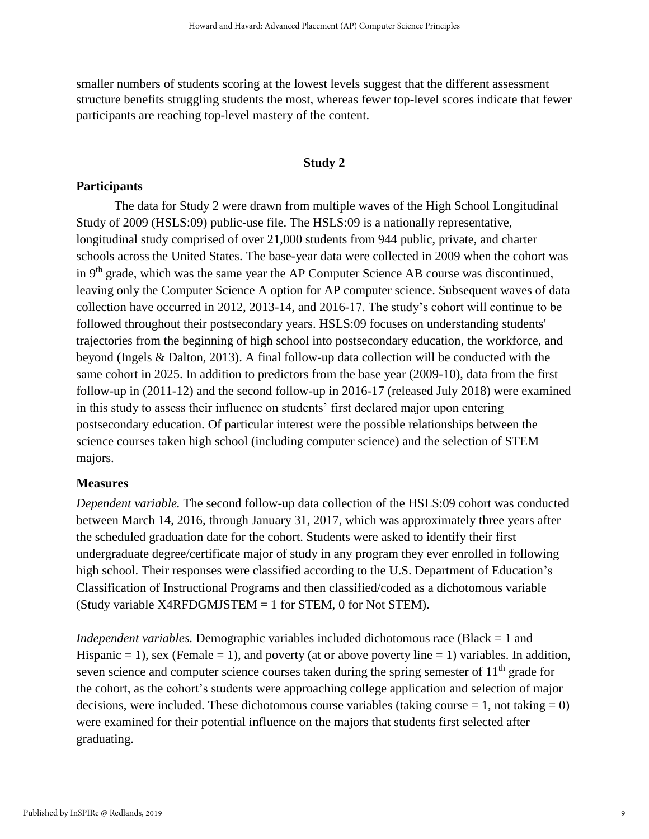smaller numbers of students scoring at the lowest levels suggest that the different assessment structure benefits struggling students the most, whereas fewer top-level scores indicate that fewer participants are reaching top-level mastery of the content.

#### **Study 2**

#### **Participants**

The data for Study 2 were drawn from multiple waves of the High School Longitudinal Study of 2009 (HSLS:09) public-use file. The HSLS:09 is a nationally representative, longitudinal study comprised of over 21,000 students from 944 public, private, and charter schools across the United States. The base-year data were collected in 2009 when the cohort was in  $9<sup>th</sup>$  grade, which was the same year the AP Computer Science AB course was discontinued, leaving only the Computer Science A option for AP computer science. Subsequent waves of data collection have occurred in 2012, 2013-14, and 2016-17. The study's cohort will continue to be followed throughout their postsecondary years. HSLS:09 focuses on understanding students' trajectories from the beginning of high school into postsecondary education, the workforce, and beyond (Ingels & Dalton, 2013). A final follow-up data collection will be conducted with the same cohort in 2025. In addition to predictors from the base year (2009-10), data from the first follow-up in (2011-12) and the second follow-up in 2016-17 (released July 2018) were examined in this study to assess their influence on students' first declared major upon entering postsecondary education. Of particular interest were the possible relationships between the science courses taken high school (including computer science) and the selection of STEM majors.

#### **Measures**

*Dependent variable.* The second follow-up data collection of the HSLS:09 cohort was conducted between March 14, 2016, through January 31, 2017, which was approximately three years after the scheduled graduation date for the cohort. Students were asked to identify their first undergraduate degree/certificate major of study in any program they ever enrolled in following high school. Their responses were classified according to the U.S. Department of Education's Classification of Instructional Programs and then classified/coded as a dichotomous variable (Study variable X4RFDGMJSTEM = 1 for STEM, 0 for Not STEM).

*Independent variables.* Demographic variables included dichotomous race (Black = 1 and Hispanic  $= 1$ ), sex (Female  $= 1$ ), and poverty (at or above poverty line  $= 1$ ) variables. In addition, seven science and computer science courses taken during the spring semester of  $11<sup>th</sup>$  grade for the cohort, as the cohort's students were approaching college application and selection of major decisions, were included. These dichotomous course variables (taking course  $= 1$ , not taking  $= 0$ ) were examined for their potential influence on the majors that students first selected after graduating.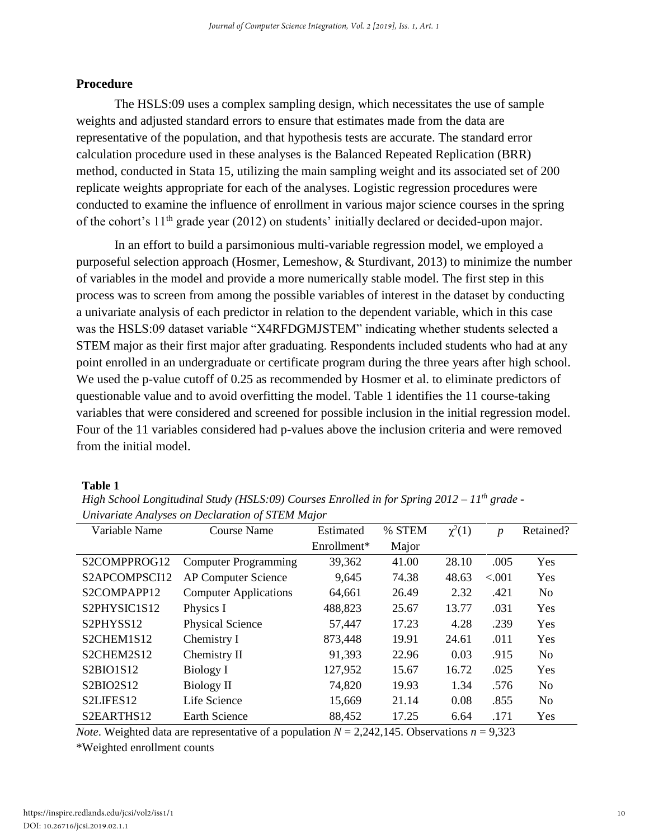#### **Procedure**

The HSLS:09 uses a complex sampling design, which necessitates the use of sample weights and adjusted standard errors to ensure that estimates made from the data are representative of the population, and that hypothesis tests are accurate. The standard error calculation procedure used in these analyses is the Balanced Repeated Replication (BRR) method, conducted in Stata 15, utilizing the main sampling weight and its associated set of 200 replicate weights appropriate for each of the analyses. Logistic regression procedures were conducted to examine the influence of enrollment in various major science courses in the spring of the cohort's 11<sup>th</sup> grade year (2012) on students' initially declared or decided-upon major.

In an effort to build a parsimonious multi-variable regression model, we employed a purposeful selection approach (Hosmer, Lemeshow, & Sturdivant, 2013) to minimize the number of variables in the model and provide a more numerically stable model. The first step in this process was to screen from among the possible variables of interest in the dataset by conducting a univariate analysis of each predictor in relation to the dependent variable, which in this case was the HSLS:09 dataset variable "X4RFDGMJSTEM" indicating whether students selected a STEM major as their first major after graduating. Respondents included students who had at any point enrolled in an undergraduate or certificate program during the three years after high school. We used the p-value cutoff of 0.25 as recommended by Hosmer et al. to eliminate predictors of questionable value and to avoid overfitting the model. Table 1 identifies the 11 course-taking variables that were considered and screened for possible inclusion in the initial regression model. Four of the 11 variables considered had p-values above the inclusion criteria and were removed from the initial model.

#### **Table 1**

*High School Longitudinal Study (HSLS:09) Courses Enrolled in for Spring 2012 – 11th grade - Univariate Analyses on Declaration of STEM Major*

| Variable Name                                      | <b>Course Name</b>           | Estimated     | % STEM | $\chi^2(1)$ | $\boldsymbol{p}$ | Retained?      |
|----------------------------------------------------|------------------------------|---------------|--------|-------------|------------------|----------------|
|                                                    |                              | $Enrollment*$ | Major  |             |                  |                |
| S2COMPPROG12                                       | <b>Computer Programming</b>  | 39,362        | 41.00  | 28.10       | .005             | Yes            |
| S2APCOMPSCI12                                      | <b>AP Computer Science</b>   | 9,645         | 74.38  | 48.63       | < 0.001          | Yes            |
| S2COMPAPP12                                        | <b>Computer Applications</b> | 64,661        | 26.49  | 2.32        | .421             | N <sub>o</sub> |
| S <sub>2</sub> PHYSIC <sub>1</sub> S <sub>12</sub> | Physics I                    | 488,823       | 25.67  | 13.77       | .031             | Yes            |
| S2PHYSS12                                          | Physical Science             | 57,447        | 17.23  | 4.28        | .239             | <b>Yes</b>     |
| S2CHEM1S12                                         | Chemistry I                  | 873,448       | 19.91  | 24.61       | .011             | <b>Yes</b>     |
| S2CHEM2S12                                         | Chemistry II                 | 91,393        | 22.96  | 0.03        | .915             | N <sub>0</sub> |
| S2BIO1S12                                          | Biology I                    | 127,952       | 15.67  | 16.72       | .025             | Yes            |
| S2BIO2S12                                          | <b>Biology II</b>            | 74,820        | 19.93  | 1.34        | .576             | N <sub>o</sub> |
| S2LIFES12                                          | Life Science                 | 15,669        | 21.14  | 0.08        | .855             | N <sub>o</sub> |
| S2EARTHS12                                         | Earth Science                | 88,452        | 17.25  | 6.64        | .171             | Yes            |

*Note*. Weighted data are representative of a population  $N = 2,242,145$ . Observations  $n = 9,323$ 

\*Weighted enrollment counts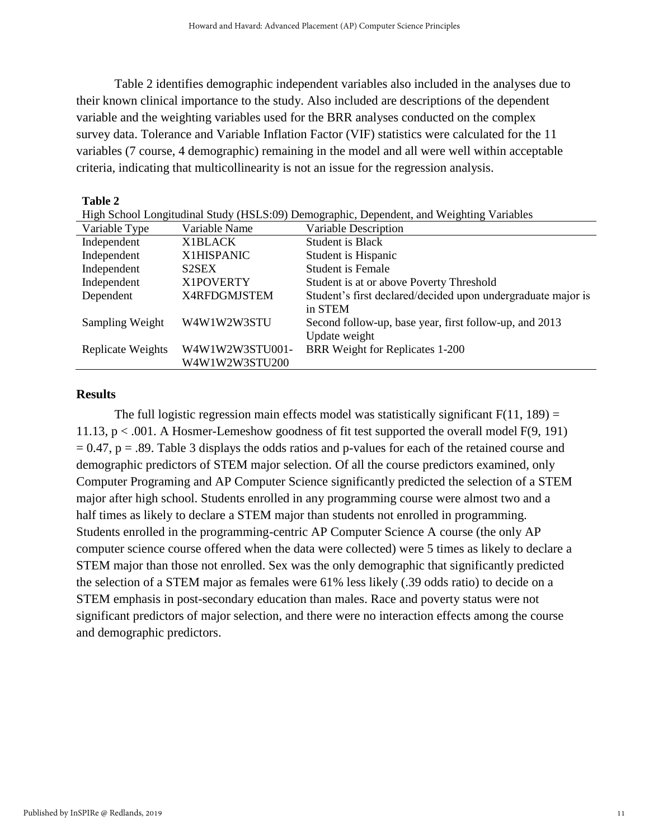Table 2 identifies demographic independent variables also included in the analyses due to their known clinical importance to the study. Also included are descriptions of the dependent variable and the weighting variables used for the BRR analyses conducted on the complex survey data. Tolerance and Variable Inflation Factor (VIF) statistics were calculated for the 11 variables (7 course, 4 demographic) remaining in the model and all were well within acceptable criteria, indicating that multicollinearity is not an issue for the regression analysis.

| Table 2                                                                                  |                    |                                                              |  |  |  |  |
|------------------------------------------------------------------------------------------|--------------------|--------------------------------------------------------------|--|--|--|--|
| High School Longitudinal Study (HSLS:09) Demographic, Dependent, and Weighting Variables |                    |                                                              |  |  |  |  |
| Variable Type                                                                            | Variable Name      | Variable Description                                         |  |  |  |  |
| Independent                                                                              | X1BLACK            | Student is Black                                             |  |  |  |  |
| Independent                                                                              | X1HISPANIC         | Student is Hispanic                                          |  |  |  |  |
| Independent                                                                              | S <sub>2</sub> SEX | Student is Female                                            |  |  |  |  |
| Independent                                                                              | X1POVERTY          | Student is at or above Poverty Threshold                     |  |  |  |  |
| Dependent                                                                                | X4RFDGMJSTEM       | Student's first declared/decided upon undergraduate major is |  |  |  |  |
|                                                                                          |                    | in STEM                                                      |  |  |  |  |
| Sampling Weight                                                                          | W4W1W2W3STU        | Second follow-up, base year, first follow-up, and 2013       |  |  |  |  |
|                                                                                          |                    | Update weight                                                |  |  |  |  |
| Replicate Weights                                                                        | W4W1W2W3STU001-    | BRR Weight for Replicates 1-200                              |  |  |  |  |
|                                                                                          | W4W1W2W3STU200     |                                                              |  |  |  |  |

#### **Results**

The full logistic regression main effects model was statistically significant  $F(11, 189) =$ 11.13, p < .001. A Hosmer-Lemeshow goodness of fit test supported the overall model F(9, 191)  $= 0.47$ ,  $p = .89$ . Table 3 displays the odds ratios and p-values for each of the retained course and demographic predictors of STEM major selection. Of all the course predictors examined, only Computer Programing and AP Computer Science significantly predicted the selection of a STEM major after high school. Students enrolled in any programming course were almost two and a half times as likely to declare a STEM major than students not enrolled in programming. Students enrolled in the programming-centric AP Computer Science A course (the only AP computer science course offered when the data were collected) were 5 times as likely to declare a STEM major than those not enrolled. Sex was the only demographic that significantly predicted the selection of a STEM major as females were 61% less likely (.39 odds ratio) to decide on a STEM emphasis in post-secondary education than males. Race and poverty status were not significant predictors of major selection, and there were no interaction effects among the course and demographic predictors.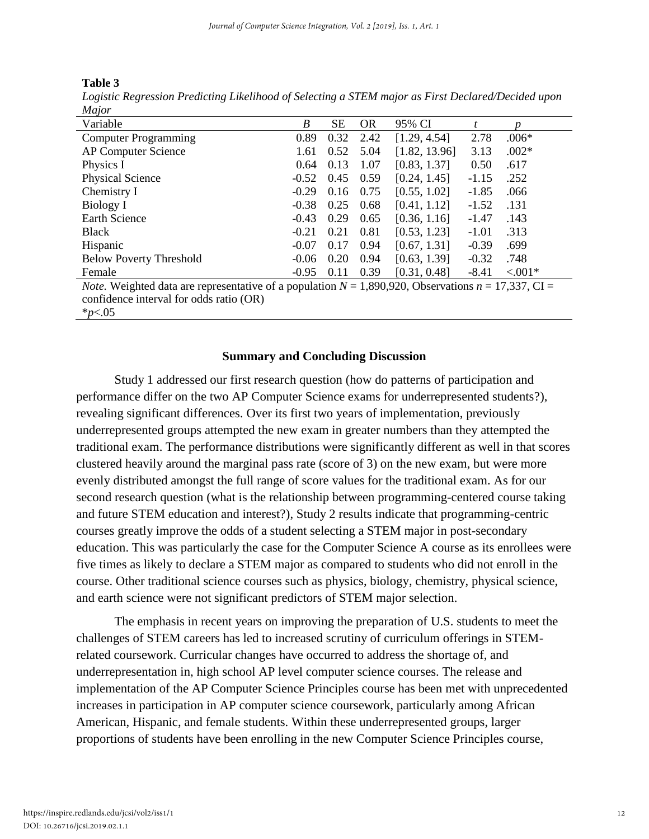| m<br>H |  |
|--------|--|
|--------|--|

| Logistic Regression Predicting Likelihood of Selecting a STEM major as First Declared/Decided upon |  |  |
|----------------------------------------------------------------------------------------------------|--|--|
| Major                                                                                              |  |  |

| $1$ <i>v</i> $1$ <i>u</i> $1$ <i>u</i> $1$                                                                       |         |      |           |               |         |            |
|------------------------------------------------------------------------------------------------------------------|---------|------|-----------|---------------|---------|------------|
| Variable                                                                                                         | B       | SЕ   | <b>OR</b> | 95% CI        |         |            |
| <b>Computer Programming</b>                                                                                      | 0.89    | 0.32 | 2.42      | [1.29, 4.54]  | 2.78    | $.006*$    |
| AP Computer Science                                                                                              | 1.61    | 0.52 | 5.04      | [1.82, 13.96] | 3.13    | $.002*$    |
| Physics I                                                                                                        | 0.64    | 0.13 | 1.07      | [0.83, 1.37]  | 0.50    | .617       |
| <b>Physical Science</b>                                                                                          | $-0.52$ | 0.45 | 0.59      | [0.24, 1.45]  | $-1.15$ | .252       |
| Chemistry I                                                                                                      | $-0.29$ | 0.16 | 0.75      | [0.55, 1.02]  | $-1.85$ | .066       |
| Biology I                                                                                                        | $-0.38$ | 0.25 | 0.68      | [0.41, 1.12]  | $-1.52$ | .131       |
| <b>Earth Science</b>                                                                                             | $-0.43$ | 0.29 | 0.65      | [0.36, 1.16]  | $-1.47$ | .143       |
| <b>Black</b>                                                                                                     | $-0.21$ | 0.21 | 0.81      | [0.53, 1.23]  | $-1.01$ | .313       |
| Hispanic                                                                                                         | $-0.07$ | 0.17 | 0.94      | [0.67, 1.31]  | $-0.39$ | .699       |
| <b>Below Poverty Threshold</b>                                                                                   | $-0.06$ | 0.20 | 0.94      | [0.63, 1.39]  | $-0.32$ | .748       |
| Female                                                                                                           | $-0.95$ | 0.11 | 0.39      | [0.31, 0.48]  | $-8.41$ | $< 0.001*$ |
| <i>Note.</i> Weighted data are representative of a population $N = 1,890,920$ , Observations $n = 17,337$ , CI = |         |      |           |               |         |            |
| confidence interval for odds ratio (OR)                                                                          |         |      |           |               |         |            |

\**p*<.05

#### **Summary and Concluding Discussion**

Study 1 addressed our first research question (how do patterns of participation and performance differ on the two AP Computer Science exams for underrepresented students?), revealing significant differences. Over its first two years of implementation, previously underrepresented groups attempted the new exam in greater numbers than they attempted the traditional exam. The performance distributions were significantly different as well in that scores clustered heavily around the marginal pass rate (score of 3) on the new exam, but were more evenly distributed amongst the full range of score values for the traditional exam. As for our second research question (what is the relationship between programming-centered course taking and future STEM education and interest?), Study 2 results indicate that programming-centric courses greatly improve the odds of a student selecting a STEM major in post-secondary education. This was particularly the case for the Computer Science A course as its enrollees were five times as likely to declare a STEM major as compared to students who did not enroll in the course. Other traditional science courses such as physics, biology, chemistry, physical science, and earth science were not significant predictors of STEM major selection.

The emphasis in recent years on improving the preparation of U.S. students to meet the challenges of STEM careers has led to increased scrutiny of curriculum offerings in STEMrelated coursework. Curricular changes have occurred to address the shortage of, and underrepresentation in, high school AP level computer science courses. The release and implementation of the AP Computer Science Principles course has been met with unprecedented increases in participation in AP computer science coursework, particularly among African American, Hispanic, and female students. Within these underrepresented groups, larger proportions of students have been enrolling in the new Computer Science Principles course,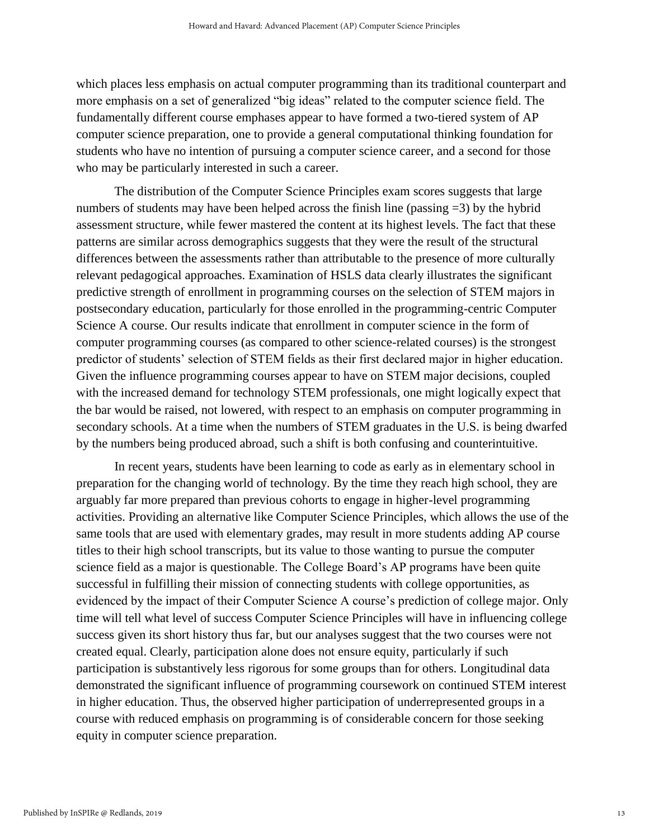which places less emphasis on actual computer programming than its traditional counterpart and more emphasis on a set of generalized "big ideas" related to the computer science field. The fundamentally different course emphases appear to have formed a two-tiered system of AP computer science preparation, one to provide a general computational thinking foundation for students who have no intention of pursuing a computer science career, and a second for those who may be particularly interested in such a career.

The distribution of the Computer Science Principles exam scores suggests that large numbers of students may have been helped across the finish line (passing  $=3$ ) by the hybrid assessment structure, while fewer mastered the content at its highest levels. The fact that these patterns are similar across demographics suggests that they were the result of the structural differences between the assessments rather than attributable to the presence of more culturally relevant pedagogical approaches. Examination of HSLS data clearly illustrates the significant predictive strength of enrollment in programming courses on the selection of STEM majors in postsecondary education, particularly for those enrolled in the programming-centric Computer Science A course. Our results indicate that enrollment in computer science in the form of computer programming courses (as compared to other science-related courses) is the strongest predictor of students' selection of STEM fields as their first declared major in higher education. Given the influence programming courses appear to have on STEM major decisions, coupled with the increased demand for technology STEM professionals, one might logically expect that the bar would be raised, not lowered, with respect to an emphasis on computer programming in secondary schools. At a time when the numbers of STEM graduates in the U.S. is being dwarfed by the numbers being produced abroad, such a shift is both confusing and counterintuitive.

In recent years, students have been learning to code as early as in elementary school in preparation for the changing world of technology. By the time they reach high school, they are arguably far more prepared than previous cohorts to engage in higher-level programming activities. Providing an alternative like Computer Science Principles, which allows the use of the same tools that are used with elementary grades, may result in more students adding AP course titles to their high school transcripts, but its value to those wanting to pursue the computer science field as a major is questionable. The College Board's AP programs have been quite successful in fulfilling their mission of connecting students with college opportunities, as evidenced by the impact of their Computer Science A course's prediction of college major. Only time will tell what level of success Computer Science Principles will have in influencing college success given its short history thus far, but our analyses suggest that the two courses were not created equal. Clearly, participation alone does not ensure equity, particularly if such participation is substantively less rigorous for some groups than for others. Longitudinal data demonstrated the significant influence of programming coursework on continued STEM interest in higher education. Thus, the observed higher participation of underrepresented groups in a course with reduced emphasis on programming is of considerable concern for those seeking equity in computer science preparation.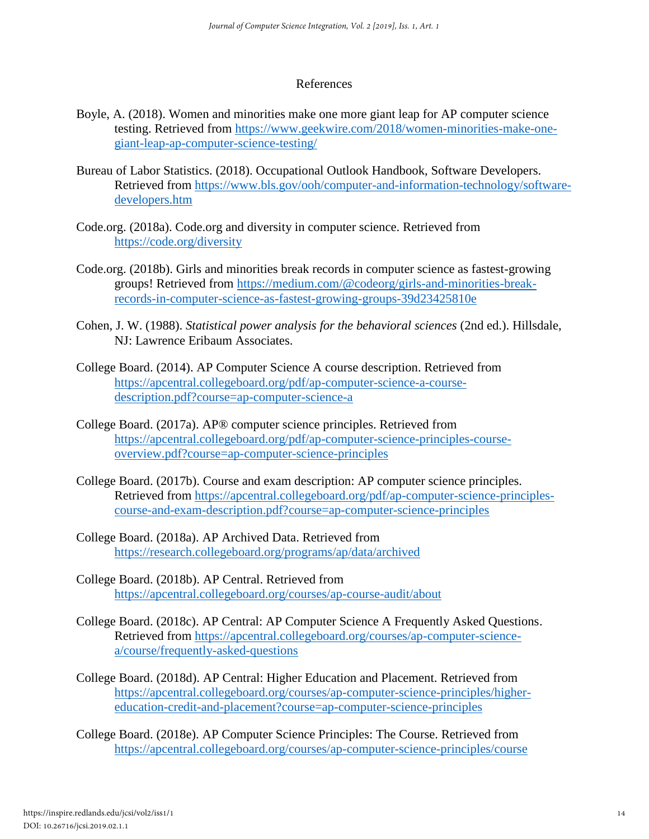#### References

- Boyle, A. (2018). Women and minorities make one more giant leap for AP computer science testing. Retrieved from [https://www.geekwire.com/2018/women-minorities-make-one](https://www.geekwire.com/2018/women-minorities-make-one-giant-leap-ap-computer-science-testing/)[giant-leap-ap-computer-science-testing/](https://www.geekwire.com/2018/women-minorities-make-one-giant-leap-ap-computer-science-testing/)
- Bureau of Labor Statistics. (2018). Occupational Outlook Handbook, Software Developers. Retrieved from [https://www.bls.gov/ooh/computer-and-information-technology/software](https://www.bls.gov/ooh/computer-and-information-technology/software-developers.htm)[developers.htm](https://www.bls.gov/ooh/computer-and-information-technology/software-developers.htm)
- Code.org. (2018a). Code.org and diversity in computer science. Retrieved from <https://code.org/diversity>
- Code.org. (2018b). Girls and minorities break records in computer science as fastest-growing groups! Retrieved from [https://medium.com/@codeorg/girls-and-minorities-break](https://medium.com/@codeorg/girls-and-minorities-break-records-in-computer-science-as-fastest-growing-groups-39d23425810e)[records-in-computer-science-as-fastest-growing-groups-39d23425810e](https://medium.com/@codeorg/girls-and-minorities-break-records-in-computer-science-as-fastest-growing-groups-39d23425810e)
- Cohen, J. W. (1988). *Statistical power analysis for the behavioral sciences* (2nd ed.). Hillsdale, NJ: Lawrence Eribaum Associates.
- College Board. (2014). AP Computer Science A course description. Retrieved from [https://apcentral.collegeboard.org/pdf/ap-computer-science-a-course](https://apcentral.collegeboard.org/pdf/ap-computer-science-a-course-description.pdf?course=ap-computer-science-a)[description.pdf?course=ap-computer-science-a](https://apcentral.collegeboard.org/pdf/ap-computer-science-a-course-description.pdf?course=ap-computer-science-a)
- College Board. (2017a). AP® computer science principles. Retrieved from [https://apcentral.collegeboard.org/pdf/ap-computer-science-principles-course](https://apcentral.collegeboard.org/pdf/ap-computer-science-principles-course-overview.pdf?course=ap-computer-science-principles)[overview.pdf?course=ap-computer-science-principles](https://apcentral.collegeboard.org/pdf/ap-computer-science-principles-course-overview.pdf?course=ap-computer-science-principles)
- College Board. (2017b). Course and exam description: AP computer science principles. Retrieved from [https://apcentral.collegeboard.org/pdf/ap-computer-science-principles](https://apcentral.collegeboard.org/pdf/ap-computer-science-principles-course-and-exam-description.pdf?course=ap-computer-science-principles)[course-and-exam-description.pdf?course=ap-computer-science-principles](https://apcentral.collegeboard.org/pdf/ap-computer-science-principles-course-and-exam-description.pdf?course=ap-computer-science-principles)
- College Board. (2018a). AP Archived Data. Retrieved from <https://research.collegeboard.org/programs/ap/data/archived>
- College Board. (2018b). AP Central. Retrieved from <https://apcentral.collegeboard.org/courses/ap-course-audit/about>
- College Board. (2018c). AP Central: AP Computer Science A Frequently Asked Questions. Retrieved from [https://apcentral.collegeboard.org/courses/ap-computer-science](https://apcentral.collegeboard.org/courses/ap-computer-science-a/course/frequently-asked-questions)[a/course/frequently-asked-questions](https://apcentral.collegeboard.org/courses/ap-computer-science-a/course/frequently-asked-questions)
- College Board. (2018d). AP Central: Higher Education and Placement. Retrieved from [https://apcentral.collegeboard.org/courses/ap-computer-science-principles/higher](https://apcentral.collegeboard.org/courses/ap-computer-science-principles/higher-education-credit-and-placement?course=ap-computer-science-principles)[education-credit-and-placement?course=ap-computer-science-principles](https://apcentral.collegeboard.org/courses/ap-computer-science-principles/higher-education-credit-and-placement?course=ap-computer-science-principles)
- College Board. (2018e). AP Computer Science Principles: The Course. Retrieved from <https://apcentral.collegeboard.org/courses/ap-computer-science-principles/course>